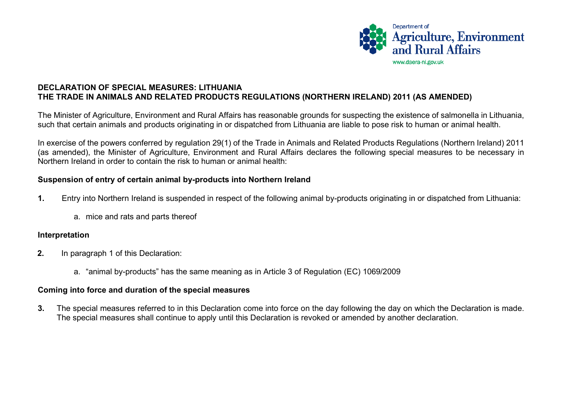

## **DECLARATION OF SPECIAL MEASURES: LITHUANIA THE TRADE IN ANIMALS AND RELATED PRODUCTS REGULATIONS (NORTHERN IRELAND) 2011 (AS AMENDED)**

The Minister of Agriculture, Environment and Rural Affairs has reasonable grounds for suspecting the existence of salmonella in Lithuania, such that certain animals and products originating in or dispatched from Lithuania are liable to pose risk to human or animal health.

In exercise of the powers conferred by regulation 29(1) of the Trade in Animals and Related Products Regulations (Northern Ireland) 2011 (as amended), the Minister of Agriculture, Environment and Rural Affairs declares the following special measures to be necessary in Northern Ireland in order to contain the risk to human or animal health:

## **Suspension of entry of certain animal by-products into Northern Ireland**

- **1.** Entry into Northern Ireland is suspended in respect of the following animal by-products originating in or dispatched from Lithuania:
	- a. mice and rats and parts thereof

## **Interpretation**

- **2.** In paragraph 1 of this Declaration:
	- a. "animal by-products" has the same meaning as in Article 3 of Regulation (EC) 1069/2009

## **Coming into force and duration of the special measures**

**3.** The special measures referred to in this Declaration come into force on the day following the day on which the Declaration is made. The special measures shall continue to apply until this Declaration is revoked or amended by another declaration.